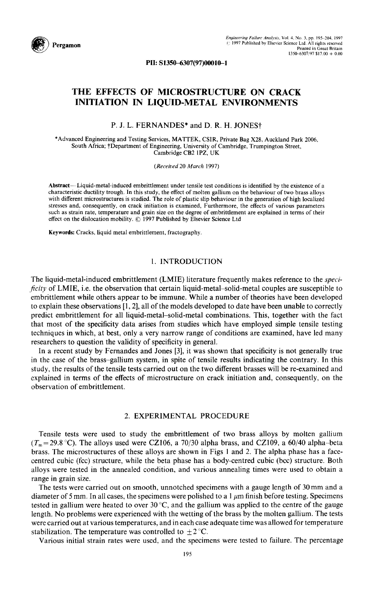

PII: S1350-6307(97)00010-1

# **THE EFFECTS OF MICROSTRUCTURE ON CRACK**  INITIATION IN LIQUID-METAL ENVIRONMENTS

P. J. L. FERNANDES\* and D. R. H. JONESt

\*Advanced Engineering and Testing Services, MATTEK, CSIR, Private Bag X28, Auckland Park 2006, South Africa; tDepartment of Engineering, University of Cambridge, Trumpington Street, Cambridge CB2 IPZ, UK

*(Received* 20 *March* 1997)

Abstract--Liquid-metal-induced embrittlement under tensile test conditions is identified by the existence of a characteristic ductility trough, In this study, the effect of molten gallium on the behaviour of two brass alloys with different microstructures is studied. The role of plastic slip behaviour in the generation of high localized stresses and, consequently, on crack initiation is examined, Furthermore, the effects of various parameters such as strain rate, temperature and grain size on the degree of embrittlement are explained in terms of their effect on the dislocation mobility. © 1997 Published by Elsevier Science Ltd

Keywords: Cracks, liquid metal embrittlement, fractography.

### 1. INTRODUCTION

The liquid-metal-induced embrittlement (LMIE) literature frequently makes reference to the *specificity* of LMIE, i.e. the observation that certain liquid-metal-solid-metal couples are susceptible to embrittlement while others appear to be immune. While a number of theories have been developed to explain these observations [1, 2], all of the models developed to date have been unable to correctly predict embrittlement for all liquid-metal-solid-metal combinations. This, together with the fact that most of the specificity data arises from studies which have employed simple tensile testing techniques in which, at best, only a very narrow range of conditions are examined, have led many researchers to question the validity of specificity in general.

In a recent study by Fernandes and Jones [3], it was shown that specificity is not generally true in the case of the brass-gallium system, in spite of tensile results indicating the contrary. In this study, the results of the tensile tests carried out on the two different brasses will be re-examined and explained in terms of the effects of microstructure on crack initiation and, consequently, on the observation of embrittlement.

# 2. EXPERIMENTAL PROCEDURE

Tensile tests were used to study the embrittlement of two brass alloys by molten gallium  $(T_m=29.8 \text{ °C})$ . The alloys used were CZ106, a 70/30 alpha brass, and CZ109, a 60/40 alpha-beta brass. The microstructures of these alloys are shown in Figs 1 and 2. The alpha phase has a facecentred cubic (fcc) structure, while the beta phase has a body-centred cubic (bcc) structure. Both alloys were tested in the annealed condition, and various annealing times were used to obtain a range in grain size.

The tests were carried out on smooth, unnotched specimens with a gauge length of 30 mm and a diameter of 5 mm. In all cases, the specimens were polished to a  $1 \mu m$  finish before testing. Specimens tested in gallium were heated to over 30 °C, and the gallium was applied to the centre of the gauge length. No problems were experienced with the wetting of the brass by the molten gallium. The tests were carried out at various temperatures, and in each case adequate time was allowed for temperature stabilization. The temperature was controlled to  $\pm 2^{\circ}$ C.

Various initial strain rates were used, and the specimens were tested to failure. The percentage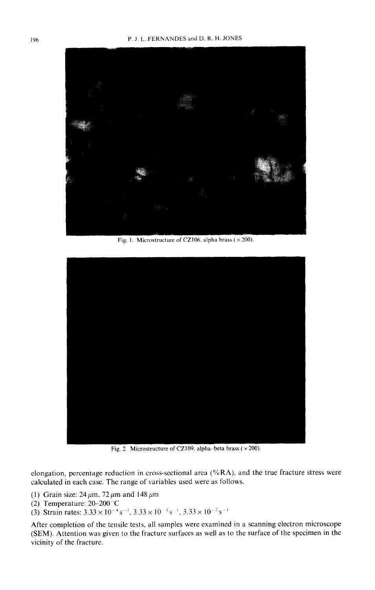

Fig. 1. Microstructure of CZ106, alpha brass ( $\times$  200).



Fig. 2. Microstructure of CZ109, alpha-beta brass ( $\times$  200).

elongation, percentage reduction in cross-sectional area (%RA), and the true fracture stress were calculated in each case. The range of variables used were as follows.

- (1) Grain size:  $24~\mu$ m, 72  $\mu$ m and 148  $\mu$ m
- (2) Temperature: 20-200"C
- (3) Strain rates:  $3.33 \times 10^{-4} \text{ s}^{-1}$ ,  $3.33 \times 10^{-3} \text{ s}^{-1}$ ,  $3.33 \times 10^{-2} \text{ s}^{-1}$

After completion of the tensile tests, all samples were examined in a scanning electron microscope (SEM). Attention was given to the fracture surfaces as well as to the surface of the specimen in the vicinity of the fracture.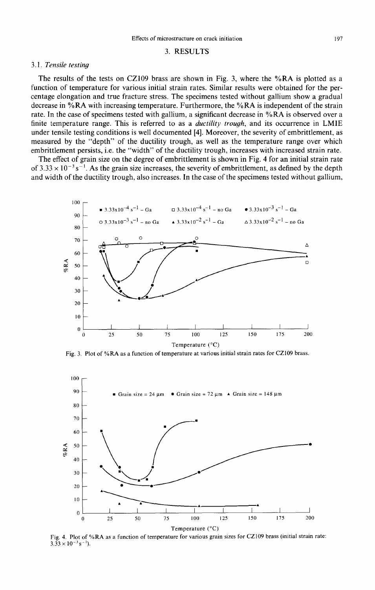#### **3.** RESULTS

#### *3.1. Tensile testing*

The results of the tests on CZ109 brass are shown in Fig. 3, where the %RA is plotted as a function of temperature for various initial strain rates. Similar results were obtained for the percentage elongation and true fracture stress. The specimens tested without gallium show a gradual decrease in %RA with increasing temperature. Furthermore, the %RA is independent of the strain rate. In the case of specimens tested with gallium, a significant decrease in %RA is observed over a finite temperature range. This is referred to as a *ductility trough,* and its occurrence in LM1E under tensile testing conditions is well documented [4]. Moreover, the severity of embrittlement, as measured by the "depth" of the ductility trough, as well as the temperature range over which embrittlement persists, i.e. the "width" of the ductility trough, increases with increased strain rate.

The effect of grain size on the degree of embrittlement is shown in Fig. 4 for an initial strain rate of  $3.33 \times 10^{-3}$  s<sup>-1</sup>. As the grain size increases, the severity of embrittlement, as defined by the depth and width of the ductility trough, also increases. In the case of the specimens tested without gallium,



Fig. 3. Plot of %RA as a function of temperature at various initial strain rates for CZ109 brass.



Fig. 4. Plot of %RA as a function of temperature for various grain sizes for CZ109 brass (initial strain rate:  $3.33 \times 10^{-3}$  s<sup>-1</sup>).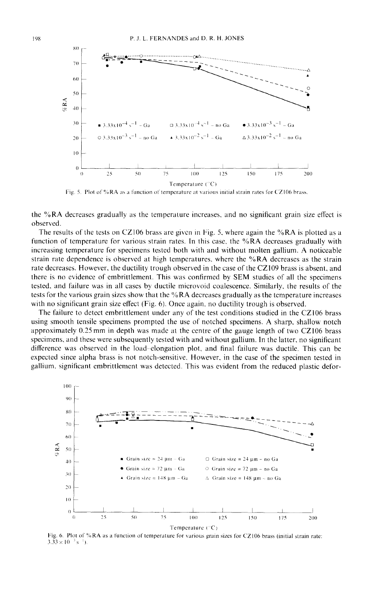

Fig. 5. Plot of %RA as a function of temperature at various initial strain rates for CZ106 brass.

**the %RA decreases gradually as the temperature increases, and no significant grain size effect is observed.** 

**The results of the tests on CZ106 brass are given in Fig. 5, where again the %RA is plotted as a function of temperature for various strain rates. In this case, the %RA decreases gradually with increasing temperature for specimens tested both with and without molten gallium. A noticeable strain rate dependence is observed at high temperatures, where the %RA decreases as the strain rate decreases. However, the ductility trough observed in the case of the CZ109 brass is absent, and there is no evidence of embrittlement. This was confirmed by SEM studies of all the specimens tested, and failure was in all cases by ductile microvoid coalescence, Similarly, the results of the tests for the various grain sizes show that the % RA decreases gradually as the temperature increases with no significant grain size effect (Fig. 6). Once again, no ductility trough is observed.** 

**The failure to detect embrittlement under any of the test conditions studied in the CZ106 brass using smooth tensile specimens prompted the use of notched specimens. A sharp, shallow notch approximately 0.25 mm in depth was made at the centre of the gauge length of two CZ106 brass specimens, and these were subsequently tested with and without gallium. In the latter, no significant difference was observed in the load elongation plot, and final failure was ductile. This can be expected since alpha brass is not notch-sensitive, However, in the case of the specimen tested in gallium, significant embrittlement was detected. This was evident from the reduced plastic defor-** 



Fig. 6. Plot of % **RA as** a function of **temperature for various grain sizes** for CZ 106 **brass (initial strain rate:**   $3.33 \times 10^{-3}$  s<sup>-1</sup>).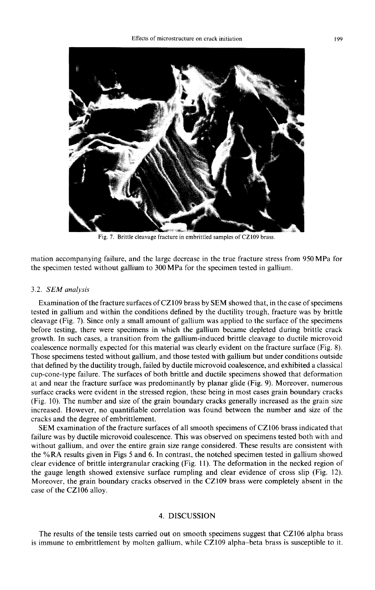

Fig. 7. Brittle cleavage fracture in embrittled samples of CZ109 brass.

mation accompanying failure, and the large decrease in the true fracture stress from 950 MPa for the specimen tested without gallium to 300 MPa for the specimen tested in gallium.

#### 3.2. *SEM analysis*

Examination of the fracture surfaces of CZ109 brass by SEM showed that, in the case of specimens tested in gallium and within the conditions defined by the ductility trough, fracture was by brittle cleavage (Fig. 7). Since only a small amount of gallium was applied to the surface of the specimens before testing, there were specimens in which the gallium became depleted during brittle crack growth. In such cases, a transition from the gallium-induced brittle cleavage to ductile microvoid coalescence normally expected for this material was clearly evident on the fracture surface (Fig. 8). Those specimens tested without gallium, and those tested with gallium but under conditions outside that defined by the ductility trough, failed by ductile microvoid coalescence, and exhibited a classical cup-cone-type failure. The surfaces of both brittle and ductile specimens showed that deformation at and near the fracture surface was predominantly by planar glide (Fig. 9). Moreover, numerous surface cracks were evident in the stressed region, these being in most cases grain boundary cracks (Fig. t0). The number and size of the grain boundary cracks generally increased as the grain size increased. However, no quantifiable correlation was found between the number and size of the cracks and the degree of embrittlement.

SEM examination of the fracture surfaces of all smooth specimens of CZ106 brass indicated that failure was by ductile microvoid coalescence. This was observed on specimens tested both with and without gallium, and over the entire grain size range considered. These results are consistent with the % RA results given in Figs 5 and 6. In contrast, the notched specimen tested in gallium showed clear evidence of brittle intergranular cracking (Fig. 11). The deformation in the necked region of the gauge length showed extensive surface rumpling and clear evidence of cross slip (Fig. 12). Moreover, the grain boundary cracks observed in the CZ109 brass were completely absent in the case of the CZ106 alloy.

# 4. DISCUSSION

The results of the tensile tests carried out on smooth specimens suggest that CZ106 alpha brass is immune to embrittlement by molten gallium, while CZ109 alpha-beta brass is susceptible to it.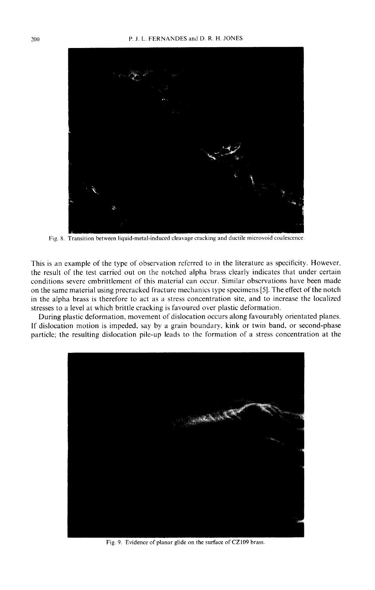

Fig. 8. Transition between liquid-metal-induced cleavage cracking and ductile microvoid coalescence.

This is an example of the type of observation referred to in the literature as specificity. However, the result of the test carried out on the notched alpha brass clearly indicates that under certain conditions severe embrittlement of this material can occur. Similar observations have been made on the same material using precracked fracture mechanics type specimens [5]. The effect of the notch in the alpha brass is therefore to act as a stress concentration site, and to increase the localized stresses to a level at which brittle cracking is favoured over plastic deformation.

During plastic deformation, movement of dislocation occurs along favourably orientated planes. If dislocation motion is impeded, say by a grain boundary, kink or twin band, or second-phase particle; the resulting dislocation pile-up leads to the formation of a stress concentration at the



Fig. 9. Evidence of planar glide on the surface of CZ109 brass.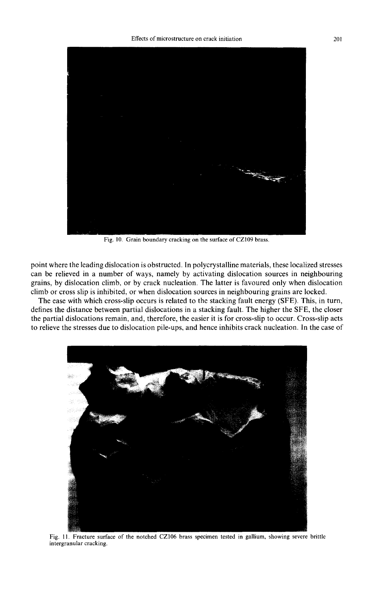

Fig. 10. Grain boundary cracking on the surface of CZl09 brass.

point where the leading dislocation is obstructed. In polycrystalline materials, these localized stresses can be relieved in a number of ways, namely by activating dislocation sources in neighbouring grains, by dislocation climb, or by crack nucleation. The latter is favoured only when dislocation climb or cross slip is inhibited, or when dislocation sources in neighbouring grains are locked.

The ease with which cross-slip occurs is related to the stacking fault energy (SFE). This, in turn, defines the distance between partial dislocations in a stacking fault. The higher the SFE, the closer the partial dislocations remain, and, therefore, the easier it is for cross-slip to occur. Cross-slip acts to relieve the stresses due to dislocation pile-ups, and hence inhibits crack nucleation. In the case of



Fig. 11. Fracture surface of the notched CZ106 brass specimen tested in gallium, showing severe brittle intergranular cracking.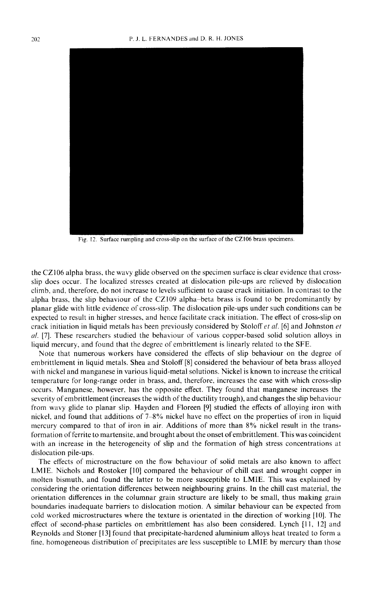

Fig. 12. Surface rumpling and cross-slip on the surface of the CZ106 brass specimens.

the CZ106 alpha brass, the wavy glide observed on the specimen surface is clear evidence that crossslip does occur. The localized stresses created at dislocation pile-ups are relieved by dislocation climb, and, therefore, do not increase to levels sufficient to cause crack initiation. In contrast to the alpha brass, the slip behaviour of the CZ109 alpha-beta brass is found to be predominantly by planar glide with little evidence of cross-slip. The dislocation pile-ups under such conditions can be expected to result in higher stresses, and hence facilitate crack initiation. The effect of cross-slip on crack initiation in liquid metals has been previously considered by Stoloff *et al.* [6] and Johnston *et al.* [7]. These researchers studied the behaviour of various copper-based solid solution alloys in liquid mercury, and found that the degree of embrittlement is linearly related to the SFE.

Note that numerous workers have considered the effects of slip behaviour on the degree of embrittlement in liquid metals. Shea and Stoloff [8] considered the behaviour of beta brass alloyed with nickel and manganese in various liquid-metal solutions. Nickel is known to increase the critical temperature for long-range order in brass, and, therefore, increases the ease with which cross-slip occurs. Manganese, however, has the opposite effect. They found that manganese increases the severity of embrittlement (increases the width of the ductility trough), and changes the slip behaviour from wavy glide to planar slip. Hayden and Floreen [9] studied the effects of alloying iron with nickel, and found that additions of 7–8% nickel have no effect on the properties of iron in liquid mercury compared to that of iron in air. Additions of more than 8% nickel result in the transformation of ferrite to martensite, and brought about the onset ofembrittlement. This was coincident with an increase in the heterogeneity of slip and the formation of high stress concentrations at dislocation pile-ups.

The effects of microstructure on the flow behaviour of solid metals are also known to affect LM1E. Nichols and Rostoker [10] compared the behaviour of chill cast and wrought copper in molten bismuth, and found the latter to be more susceptible to LMIE. This was explained by considering the orientation differences between neighbouring grains. In the chill cast material, the orientation differences in the columnar grain structure are likely to be small, thus making grain boundaries inadequate barriers to dislocation motion. A similar behaviour can be expected from cold worked microstructures where the texture is orientated in the direction of working [10]. The effect of second-phase particles on embrittlement has also been considered. Lynch [11, 12] and Reynolds and Stoner [l 3] found that precipitate-hardened aluminium alloys heat treated to form a fine, homogeneous distribution of precipitates are less susceptible to LMIE by mercury than those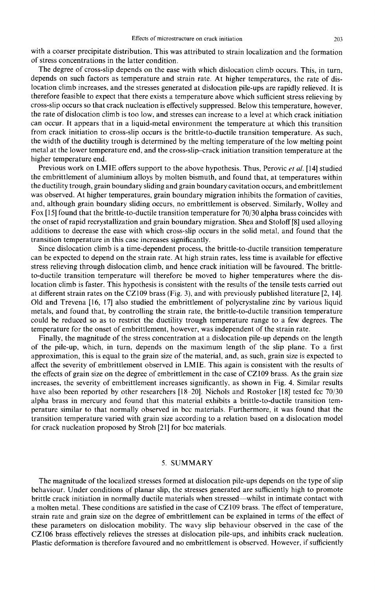with a coarser precipitate distribution. This was attributed to strain localization and the formation of stress concentrations in the latter condition.

The degree of cross-slip depends on the ease with which dislocation climb occurs. This, in turn, depends on such factors as temperature and strain rate. At higher temperatures, the rate of dislocation climb increases, and the stresses generated at dislocation pile-ups are rapidly relieved. It is therefore feasible to expect that there exists a temperature above which sufficient stress relieving by cross-slip occurs so that crack nucleation is effectively suppressed. Below this temperature, however, the rate of dislocation climb is too low, and stresses can increase to a level at which crack initiation can occur. It appears that in a liquid-metal environment the temperature at which this transition from crack initiation to cross-slip occurs is the brittle-to-ductile transition temperature. As such, the width of the ductility trough is determined by the melting temperature of the low melting point metal at the lower temperature end, and the cross-slip-crack initiation transition temperature at the higher temperature end.

Previous work on LMIE offers support to the above hypothesis. Thus, Perovic *et al.* [14] studied the embrittlement of aluminium alloys by molten bismuth, and found that, at temperatures within the ductility trough, grain boundary sliding and grain boundary cavitation occurs, and embrittlement was observed. At higher temperatures, grain boundary migration inhibits the formation of cavities, and, although grain boundary sliding occurs, no embrittlement is observed. Similarly, Wolley and Fox [15] found that the brittle-to-ductile transition temperature for 70/30 alpha brass coincides with the onset of rapid recrystallization and grain boundary migration. Shea and Stoloff [8] used alloying additions to decrease the ease with which cross-slip occurs in the solid metal, and found that the transition temperature in this case increases significantly.

Since dislocation climb is a time-dependent process, the brittle-to-ductile transition temperature can be expected to depend on the strain rate. At high strain rates, less time is available for effective stress relieving through dislocation climb, and hence crack initiation will be favoured. The brittleto-ductile transition temperature will therefore be moved to higher temperatures where the dislocation climb is faster. This hypothesis is consistent with the results of the tensile tests carried out at different strain rates on the CZ109 brass (Fig. 3), and with previously published literature [2, 14]. Old and Trevena [16, 17] also studied the embrittlement of polycrystaline zinc by various liquid metals, and found that, by controlling the strain rate, the brittle-to-ductile transition temperature could be reduced so as to restrict the ductility trough temperature range to a few degrees. The temperature for the onset of embrittlement, however, was independent of the strain rate.

Finally, the magnitude of the stress concentration at a dislocation pile-up depends on the length of the pile-up, which, in turn, depends on the maximum length of the slip plane. To a first approximation, this is equal to the grain size of the material, and, as such, grain size is expected to affect the severity of embrittlement observed in LMIE. This again is consistent with the results of the effects of grain size on the degree of embrittlement in the case of CZ109 brass. As the grain size increases, the severity of embrittlement increases significantly, as shown in Fig. 4. Similar results have also been reported by other researchers [18-20]. Nichols and Rostoker [18] tested fcc 70/30 alpha brass in mercury and found that this material exhibits a brittle-to-ductile transition temperature similar to that normally observed in bcc materials. Furthermore, it was found that the transition temperature varied with grain size according to a relation based on a dislocation model for crack nucleation proposed by Stroh [21] for bcc materials.

## 5. SUMMARY

The magnitude of the localized stresses formed at dislocation pile-ups depends on the type of slip behaviour. Under conditions of planar slip, the stresses generated are sufficiently high to promote brittle crack initiation in normally ductile materials when stressed--whilst in intimate contact with a molten metal. These conditions are satisfied in the case of CZ 109 brass. The effect of temperature, strain rate and grain size on the degree of embrittlement can be explained in terms of the effect of these parameters on dislocation mobility. The wavy slip behaviour observed in the case of the CZ106 brass effectively relieves the stresses at dislocation pile-ups, and inhibits crack nucleation. Plastic deformation is therefore favoured and no embrittlement is observed. However, if sufficiently